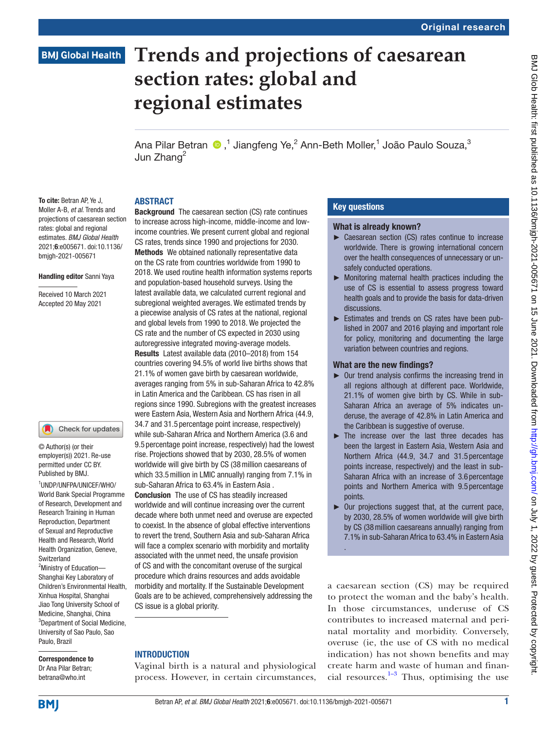# **BMJ Global Health**

# **Trends and projections of caesarean section rates: global and regional estimates**

Ana Pilar Betran  $\bigcirc$  ,<sup>1</sup> Jiangfeng Ye,<sup>2</sup> Ann-Beth Moller,<sup>1</sup> João Paulo Souza,<sup>3</sup> Jun Zhang<sup>2</sup>

#### ABSTRACT

To cite: Betran AP, Ye J. Moller A-B, *et al*. Trends and projections of caesarean section rates: global and regional estimates. *BMJ Global Health* 2021;6:e005671. doi:10.1136/ bmjgh-2021-005671

#### Handling editor Sanni Yaya

Received 10 March 2021 Accepted 20 May 2021

#### Check for updates O

© Author(s) (or their employer(s)) 2021. Re-use permitted under CC BY. Published by BMJ.

1 UNDP/UNFPA/UNICEF/WHO/ World Bank Special Programme of Research, Development and Research Training in Human Reproduction, Department of Sexual and Reproductive Health and Research, World Health Organization, Geneve, Switzerland

<sup>2</sup>Ministry of Education-Shanghai Key Laboratory of Children's Environmental Health, Xinhua Hospital, Shanghai Jiao Tong University School of Medicine, Shanghai, China <sup>3</sup>Department of Social Medicine, University of Sao Paulo, Sao Paulo, Brazil

Correspondence to Dr Ana Pilar Betran; betrana@who.int

**Background** The caesarean section (CS) rate continues to increase across high-income, middle-income and lowincome countries. We present current global and regional CS rates, trends since 1990 and projections for 2030. Methods We obtained nationally representative data on the CS rate from countries worldwide from 1990 to 2018. We used routine health information systems reports and population-based household surveys. Using the latest available data, we calculated current regional and subregional weighted averages. We estimated trends by a piecewise analysis of CS rates at the national, regional and global levels from 1990 to 2018. We projected the CS rate and the number of CS expected in 2030 using autoregressive integrated moving-average models. Results Latest available data (2010–2018) from 154 countries covering 94.5% of world live births shows that 21.1% of women gave birth by caesarean worldwide, averages ranging from 5% in sub-Saharan Africa to 42.8% in Latin America and the Caribbean. CS has risen in all regions since 1990. Subregions with the greatest increases were Eastern Asia, Western Asia and Northern Africa (44.9, 34.7 and 31.5 percentage point increase, respectively) while sub-Saharan Africa and Northern America (3.6 and 9.5 percentage point increase, respectively) had the lowest rise. Projections showed that by 2030, 28.5% of women worldwide will give birth by CS (38million caesareans of which 33.5million in LMIC annually) ranging from 7.1% in sub-Saharan Africa to 63.4% in Eastern Asia . Conclusion The use of CS has steadily increased worldwide and will continue increasing over the current decade where both unmet need and overuse are expected to coexist. In the absence of global effective interventions to revert the trend, Southern Asia and sub-Saharan Africa will face a complex scenario with morbidity and mortality associated with the unmet need, the unsafe provision of CS and with the concomitant overuse of the surgical procedure which drains resources and adds avoidable morbidity and mortality. If the Sustainable Development Goals are to be achieved, comprehensively addressing the CS issue is a global priority.

### INTRODUCTION

Vaginal birth is a natural and physiological process. However, in certain circumstances,

### Key questions

#### What is already known?

- ► Caesarean section (CS) rates continue to increase worldwide. There is growing international concern over the health consequences of unnecessary or unsafely conducted operations.
- ► Monitoring maternal health practices including the use of CS is essential to assess progress toward health goals and to provide the basis for data-driven discussions.
- ► Estimates and trends on CS rates have been published in 2007 and 2016 playing and important role for policy, monitoring and documenting the large variation between countries and regions.

#### What are the new findings?

- $\triangleright$  Our trend analysis confirms the increasing trend in all regions although at different pace. Worldwide, 21.1% of women give birth by CS. While in sub-Saharan Africa an average of 5% indicates underuse, the average of 42.8% in Latin America and the Caribbean is suggestive of overuse.
- ► The increase over the last three decades has been the largest in Eastern Asia, Western Asia and Northern Africa (44.9, 34.7 and 31.5 percentage points increase, respectively) and the least in sub-Saharan Africa with an increase of 3.6 percentage points and Northern America with 9.5 percentage points.
- ► Our projections suggest that, at the current pace, by 2030, 28.5% of women worldwide will give birth by CS (38million caesareans annually) ranging from 7.1% in sub-Saharan Africa to 63.4% in Eastern Asia .

a caesarean section (CS) may be required to protect the woman and the baby's health. In those circumstances, underuse of CS contributes to increased maternal and perinatal mortality and morbidity. Conversely, overuse (ie, the use of CS with no medical indication) has not shown benefits and may create harm and waste of human and financial resources. $1-3$  Thus, optimising the use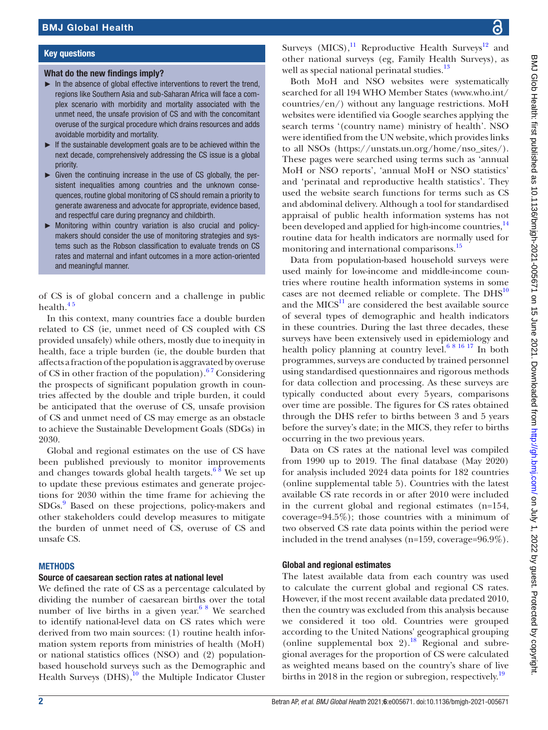#### Key questions

#### What do the new findings imply?

- $\blacktriangleright$  In the absence of global effective interventions to revert the trend, regions like Southern Asia and sub-Saharan Africa will face a complex scenario with morbidity and mortality associated with the unmet need, the unsafe provision of CS and with the concomitant overuse of the surgical procedure which drains resources and adds avoidable morbidity and mortality.
- ► If the sustainable development goals are to be achieved within the next decade, comprehensively addressing the CS issue is a global priority.
- $\triangleright$  Given the continuing increase in the use of CS globally, the persistent inequalities among countries and the unknown consequences, routine global monitoring of CS should remain a priority to generate awareness and advocate for appropriate, evidence based, and respectful care during pregnancy and childbirth.
- ► Monitoring within country variation is also crucial and policymakers should consider the use of monitoring strategies and systems such as the Robson classification to evaluate trends on CS rates and maternal and infant outcomes in a more action-oriented and meaningful manner.

of CS is of global concern and a challenge in public health.<sup>45</sup>

In this context, many countries face a double burden related to CS (ie, unmet need of CS coupled with CS provided unsafely) while others, mostly due to inequity in health, face a triple burden (ie, the double burden that affects a fraction of the population is aggravated by overuse of CS in other fraction of the population). $67$  Considering the prospects of significant population growth in countries affected by the double and triple burden, it could be anticipated that the overuse of CS, unsafe provision of CS and unmet need of CS may emerge as an obstacle to achieve the Sustainable Development Goals (SDGs) in 2030.

Global and regional estimates on the use of CS have been published previously to monitor improvements and changes towards global health targets.<sup>6  $\frac{8}{3}$ </sup> We set up to update these previous estimates and generate projections for 2030 within the time frame for achieving the SDGs[.9](#page-7-3) Based on these projections, policy-makers and other stakeholders could develop measures to mitigate the burden of unmet need of CS, overuse of CS and unsafe CS.

#### **METHODS**

#### Source of caesarean section rates at national level

We defined the rate of CS as a percentage calculated by dividing the number of caesarean births over the total number of live births in a given year.<sup>6 8</sup> We searched to identify national-level data on CS rates which were derived from two main sources: (1) routine health information system reports from ministries of health (MoH) or national statistics offices (NSO) and (2) populationbased household surveys such as the Demographic and Health Surveys  $(DHS),<sup>10</sup>$  the Multiple Indicator Cluster

Surveys (MICS), $^{11}$  Reproductive Health Surveys<sup>12</sup> and other national surveys (eg, Family Health Surveys), as well as special national perinatal studies.<sup>13</sup>

Both MoH and NSO websites were systematically searched for all 194 WHO Member States ([www.who.int/](www.who.int/countries/en/) [countries/en/](www.who.int/countries/en/)) without any language restrictions. MoH websites were identified via Google searches applying the search terms '(country name) ministry of health'. NSO were identified from the UN website, which provides links to all NSOs [\(https://unstats.un.org/home/nso\\_sites/](https://unstats.un.org/home/nso_sites/)). These pages were searched using terms such as 'annual MoH or NSO reports', 'annual MoH or NSO statistics' and 'perinatal and reproductive health statistics'. They used the website search functions for terms such as CS and abdominal delivery. Although a tool for standardised appraisal of public health information systems has not been developed and applied for high-income countries,<sup>[14](#page-7-8)</sup> routine data for health indicators are normally used for monitoring and international comparisons.<sup>[15](#page-7-9)</sup>

Data from population-based household surveys were used mainly for low-income and middle-income countries where routine health information systems in some cases are not deemed reliable or complete. The DHS<sup>[10](#page-7-4)</sup> and the  $MICS<sup>11</sup>$  $MICS<sup>11</sup>$  $MICS<sup>11</sup>$  are considered the best available source of several types of demographic and health indicators in these countries. During the last three decades, these surveys have been extensively used in epidemiology and health policy planning at country level.<sup>6 8 16 17</sup> In both programmes, surveys are conducted by trained personnel using standardised questionnaires and rigorous methods for data collection and processing. As these surveys are typically conducted about every 5years, comparisons over time are possible. The figures for CS rates obtained through the DHS refer to births between 3 and 5 years before the survey's date; in the MICS, they refer to births occurring in the two previous years.

Data on CS rates at the national level was compiled from 1990 up to 2019. The final database (May 2020) for analysis included 2024 data points for 182 countries [\(online supplemental table 5](https://dx.doi.org/10.1136/bmjgh-2021-005671)). Countries with the latest available CS rate records in or after 2010 were included in the current global and regional estimates (n=154, coverage=94.5%); those countries with a minimum of two observed CS rate data points within the period were included in the trend analyses (n=159, coverage=96.9%).

#### Global and regional estimates

The latest available data from each country was used to calculate the current global and regional CS rates. However, if the most recent available data predated 2010, then the country was excluded from this analysis because we considered it too old. Countries were grouped according to the United Nations' geographical grouping [\(online supplemental box 2\)](https://dx.doi.org/10.1136/bmjgh-2021-005671).<sup>18</sup> Regional and subregional averages for the proportion of CS were calculated as weighted means based on the country's share of live births in 2018 in the region or subregion, respectively.<sup>[19](#page-7-11)</sup>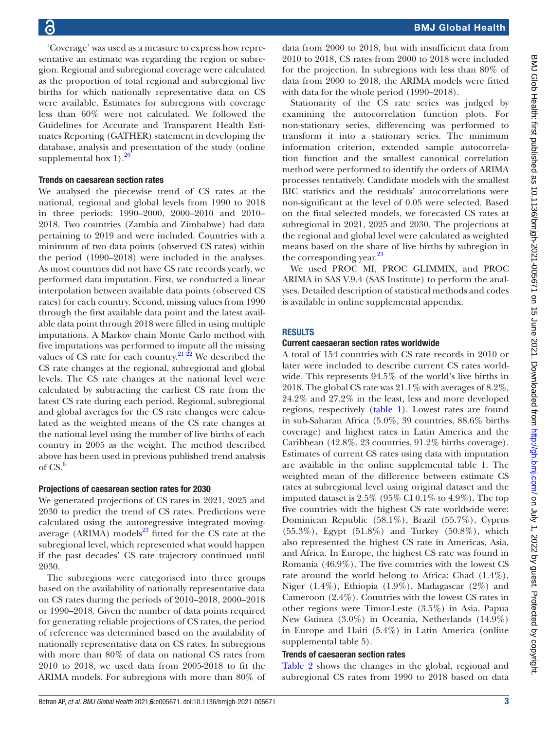'Coverage' was used as a measure to express how representative an estimate was regarding the region or subregion. Regional and subregional coverage were calculated as the proportion of total regional and subregional live births for which nationally representative data on CS were available. Estimates for subregions with coverage less than 60% were not calculated. We followed the Guidelines for Accurate and Transparent Health Estimates Reporting (GATHER) statement in developing the database, analysis and presentation of the study [\(online](https://dx.doi.org/10.1136/bmjgh-2021-005671) supplemental box  $1$ ).<sup>[20](#page-7-12)</sup>

#### Trends on caesarean section rates

We analysed the piecewise trend of CS rates at the national, regional and global levels from 1990 to 2018 in three periods: 1990–2000, 2000–2010 and 2010– 2018. Two countries (Zambia and Zimbabwe) had data pertaining to 2019 and were included. Countries with a minimum of two data points (observed CS rates) within the period (1990–2018) were included in the analyses. As most countries did not have CS rate records yearly, we performed data imputation. First, we conducted a linear interpolation between available data points (observed CS rates) for each country. Second, missing values from 1990 through the first available data point and the latest available data point through 2018 were filled in using multiple imputations. A Markov chain Monte Carlo method with five imputations was performed to impute all the missing values of CS rate for each country.<sup>21  $\overline{22}$ </sup> We described the CS rate changes at the regional, subregional and global levels. The CS rate changes at the national level were calculated by subtracting the earliest CS rate from the latest CS rate during each period. Regional, subregional and global averages for the CS rate changes were calculated as the weighted means of the CS rate changes at the national level using the number of live births of each country in 2005 as the weight. The method described above has been used in previous published trend analysis of  $CS.6$  $CS.6$ 

#### Projections of caesarean section rates for 2030

We generated projections of CS rates in 2021, 2025 and 2030 to predict the trend of CS rates. Predictions were calculated using the autoregressive integrated movingaverage (ARIMA) models $^{23}$  fitted for the CS rate at the subregional level, which represented what would happen if the past decades' CS rate trajectory continued until 2030.

The subregions were categorised into three groups based on the availability of nationally representative data on CS rates during the periods of 2010–2018, 2000–2018 or 1990–2018. Given the number of data points required for generating reliable projections of CS rates, the period of reference was determined based on the availability of nationally representative data on CS rates. In subregions with more than 80% of data on national CS rates from 2010 to 2018, we used data from 2005-2018 to fit the ARIMA models. For subregions with more than 80% of

data from 2000 to 2018, but with insufficient data from 2010 to 2018, CS rates from 2000 to 2018 were included for the projection. In subregions with less than 80% of data from 2000 to 2018, the ARIMA models were fitted with data for the whole period (1990–2018).

Stationarity of the CS rate series was judged by examining the autocorrelation function plots. For non-stationary series, differencing was performed to transform it into a stationary series. The minimum information criterion, extended sample autocorrelation function and the smallest canonical correlation method were performed to identify the orders of ARIMA processes tentatively. Candidate models with the smallest BIC statistics and the residuals' autocorrelations were non-significant at the level of 0.05 were selected. Based on the final selected models, we forecasted CS rates at subregional in 2021, 2025 and 2030. The projections at the regional and global level were calculated as weighted means based on the share of live births by subregion in the corresponding year.<sup>[23](#page-7-14)</sup>

We used PROC MI, PROC GLIMMIX, and PROC ARIMA in SAS V.9.4 (SAS Institute) to perform the analyses. Detailed description of statistical methods and codes is available in [online supplemental appendix](https://dx.doi.org/10.1136/bmjgh-2021-005671).

#### RESULTS

#### Current caesaeran section rates worldwide

A total of 154 countries with CS rate records in 2010 or later were included to describe current CS rates worldwide. This represents 94.5% of the world's live births in 2018. The global CS rate was 21.1% with averages of 8.2%, 24.2% and 27.2% in the least, less and more developed regions, respectively ([table](#page-3-0) 1). Lowest rates are found in sub-Saharan Africa (5.0%, 39 countries, 88.6% births coverage) and highest rates in Latin America and the Caribbean (42.8%, 23 countries, 91.2% births coverage). Estimates of current CS rates using data with imputation are available in the [online supplemental table 1](https://dx.doi.org/10.1136/bmjgh-2021-005671). The weighted mean of the difference between estimate CS rates at subregional level using original dataset and the imputed dataset is  $2.5\%$  (95% CI 0.1% to 4.9%). The top five countries with the highest CS rate worldwide were: Dominican Republic (58.1%), Brazil (55.7%), Cyprus (55.3%), Egypt (51.8%) and Turkey (50.8%), which also represented the highest CS rate in Americas, Asia, and Africa. In Europe, the highest CS rate was found in Romania (46.9%). The five countries with the lowest CS rate around the world belong to Africa: Chad (1.4%), Niger (1.4%), Ethiopia (1.9%), Madagascar (2%) and Cameroon (2.4%). Countries with the lowest CS rates in other regions were Timor-Leste (3.5%) in Asia, Papua New Guinea (3.0%) in Oceania, Netherlands (14.9%) in Europe and Haiti (5.4%) in Latin America [\(online](https://dx.doi.org/10.1136/bmjgh-2021-005671) [supplemental table 5\)](https://dx.doi.org/10.1136/bmjgh-2021-005671).

#### Trends of caesaeran section rates

[Table](#page-4-0) 2 shows the changes in the global, regional and subregional CS rates from 1990 to 2018 based on data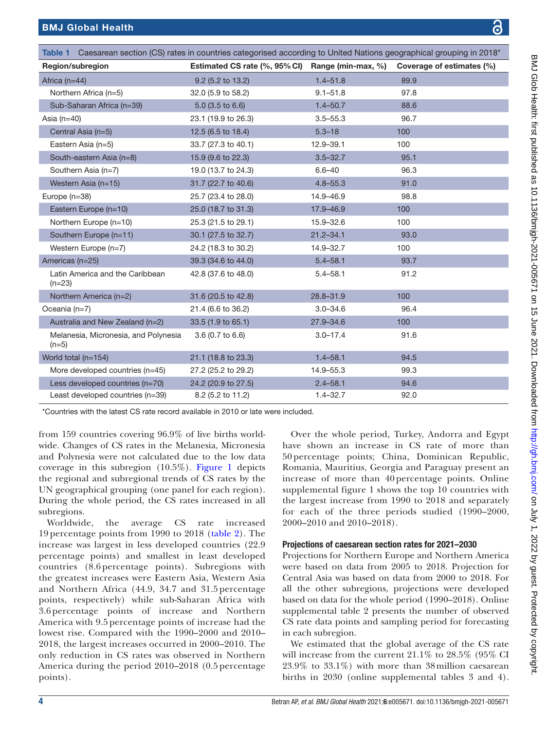<span id="page-3-0"></span>

| Table 1 Caesarean section (CS) rates in countries categorised according to United Nations geographical grouping in 2018* |                                                  |               |                           |  |  |  |  |  |  |
|--------------------------------------------------------------------------------------------------------------------------|--------------------------------------------------|---------------|---------------------------|--|--|--|--|--|--|
| Region/subregion                                                                                                         | Estimated CS rate (%, 95% CI) Range (min-max, %) |               | Coverage of estimates (%) |  |  |  |  |  |  |
| Africa $(n=44)$                                                                                                          | 9.2 (5.2 to 13.2)                                | $1.4 - 51.8$  | 89.9                      |  |  |  |  |  |  |
| Northern Africa (n=5)                                                                                                    | 32.0 (5.9 to 58.2)                               | $9.1 - 51.8$  | 97.8                      |  |  |  |  |  |  |
| Sub-Saharan Africa (n=39)                                                                                                | $5.0$ (3.5 to 6.6)                               | $1.4 - 50.7$  | 88.6                      |  |  |  |  |  |  |
| Asia $(n=40)$                                                                                                            | 23.1 (19.9 to 26.3)                              | $3.5 - 55.3$  | 96.7                      |  |  |  |  |  |  |
| Central Asia (n=5)                                                                                                       | 12.5 (6.5 to 18.4)                               | $5.3 - 18$    | 100                       |  |  |  |  |  |  |
| Eastern Asia (n=5)                                                                                                       | 33.7 (27.3 to 40.1)                              | 12.9-39.1     | 100                       |  |  |  |  |  |  |
| South-eastern Asia (n=8)                                                                                                 | 15.9 (9.6 to 22.3)                               | $3.5 - 32.7$  | 95.1                      |  |  |  |  |  |  |
| Southern Asia (n=7)                                                                                                      | 19.0 (13.7 to 24.3)                              | $6.6 - 40$    | 96.3                      |  |  |  |  |  |  |
| Western Asia (n=15)                                                                                                      | 31.7 (22.7 to 40.6)                              | $4.8 - 55.3$  | 91.0                      |  |  |  |  |  |  |
| Europe (n=38)                                                                                                            | 25.7 (23.4 to 28.0)                              | 14.9-46.9     | 98.8                      |  |  |  |  |  |  |
| Eastern Europe (n=10)                                                                                                    | 25.0 (18.7 to 31.3)                              | 17.9-46.9     | 100                       |  |  |  |  |  |  |
| Northern Europe (n=10)                                                                                                   | 25.3 (21.5 to 29.1)                              | 15.9-32.6     | 100                       |  |  |  |  |  |  |
| Southern Europe (n=11)                                                                                                   | 30.1 (27.5 to 32.7)                              | $21.2 - 34.1$ | 93.0                      |  |  |  |  |  |  |
| Western Europe (n=7)                                                                                                     | 24.2 (18.3 to 30.2)                              | 14.9-32.7     | 100                       |  |  |  |  |  |  |
| Americas (n=25)                                                                                                          | 39.3 (34.6 to 44.0)                              | $5.4 - 58.1$  | 93.7                      |  |  |  |  |  |  |
| Latin America and the Caribbean<br>$(n=23)$                                                                              | 42.8 (37.6 to 48.0)                              | $5.4 - 58.1$  | 91.2                      |  |  |  |  |  |  |
| Northern America (n=2)                                                                                                   | 31.6 (20.5 to 42.8)                              | $28.8 - 31.9$ | 100                       |  |  |  |  |  |  |
| Oceania $(n=7)$                                                                                                          | 21.4 (6.6 to 36.2)                               | $3.0 - 34.6$  | 96.4                      |  |  |  |  |  |  |
| Australia and New Zealand (n=2)                                                                                          | 33.5 (1.9 to 65.1)                               | 27.9-34.6     | 100                       |  |  |  |  |  |  |
| Melanesia, Micronesia, and Polynesia<br>$(n=5)$                                                                          | $3.6(0.7)$ to $6.6$ )                            | $3.0 - 17.4$  | 91.6                      |  |  |  |  |  |  |
| World total $(n=154)$                                                                                                    | 21.1 (18.8 to 23.3)                              | $1.4 - 58.1$  | 94.5                      |  |  |  |  |  |  |
| More developed countries $(n=45)$                                                                                        | 27.2 (25.2 to 29.2)                              | 14.9-55.3     | 99.3                      |  |  |  |  |  |  |
| Less developed countries (n=70)                                                                                          | 24.2 (20.9 to 27.5)                              | $2.4 - 58.1$  | 94.6                      |  |  |  |  |  |  |
| Least developed countries (n=39)                                                                                         | 8.2 (5.2 to 11.2)                                | $1.4 - 32.7$  | 92.0                      |  |  |  |  |  |  |

\*Countries with the latest CS rate record available in 2010 or late were included.

from 159 countries covering 96.9% of live births worldwide. Changes of CS rates in the Melanesia, Micronesia and Polynesia were not calculated due to the low data coverage in this subregion (10.5%). [Figure](#page-5-0) 1 depicts the regional and subregional trends of CS rates by the UN geographical grouping (one panel for each region). During the whole period, the CS rates increased in all subregions.

Worldwide, the average CS rate increased 19 percentage points from 1990 to 2018 ([table](#page-4-0) 2). The increase was largest in less developed countries (22.9 percentage points) and smallest in least developed countries (8.6 percentage points). Subregions with the greatest increases were Eastern Asia, Western Asia and Northern Africa (44.9, 34.7 and 31.5 percentage points, respectively) while sub-Saharan Africa with 3.6 percentage points of increase and Northern America with 9.5 percentage points of increase had the lowest rise. Compared with the 1990–2000 and 2010– 2018, the largest increases occurred in 2000–2010. The only reduction in CS rates was observed in Northern America during the period 2010–2018 (0.5 percentage points).

Over the whole period, Turkey, Andorra and Egypt have shown an increase in CS rate of more than 50 percentage points; China, Dominican Republic, Romania, Mauritius, Georgia and Paraguay present an increase of more than 40 percentage points. [Online](https://dx.doi.org/10.1136/bmjgh-2021-005671) [supplemental figure 1](https://dx.doi.org/10.1136/bmjgh-2021-005671) shows the top 10 countries with the largest increase from 1990 to 2018 and separately for each of the three periods studied (1990–2000, 2000–2010 and 2010–2018).

#### Projections of caesarean section rates for 2021–2030

Projections for Northern Europe and Northern America were based on data from 2005 to 2018. Projection for Central Asia was based on data from 2000 to 2018. For all the other subregions, projections were developed based on data for the whole period (1990–2018). [Online](https://dx.doi.org/10.1136/bmjgh-2021-005671) [supplemental table 2](https://dx.doi.org/10.1136/bmjgh-2021-005671) presents the number of observed CS rate data points and sampling period for forecasting in each subregion.

We estimated that the global average of the CS rate will increase from the current 21.1% to 28.5% (95% CI 23.9% to 33.1%) with more than 38million caesarean births in 2030 [\(online supplemental tables 3 and 4](https://dx.doi.org/10.1136/bmjgh-2021-005671)).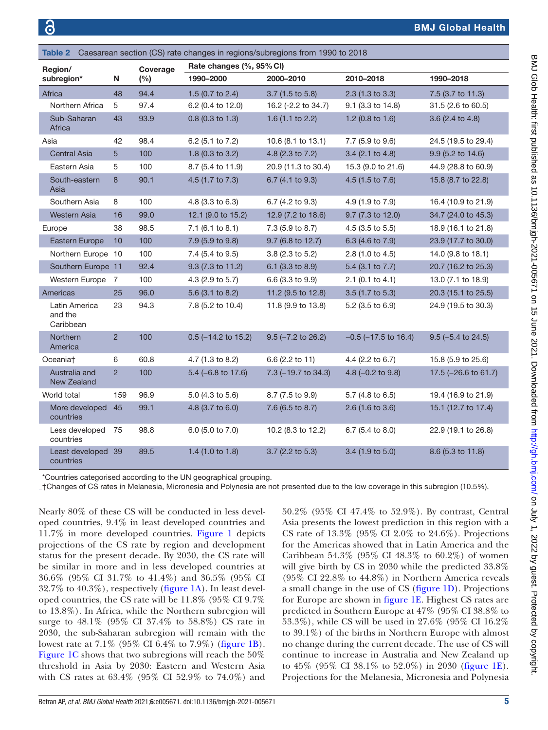## BMJ Global Health

<span id="page-4-0"></span>

| Caesarean section (CS) rate changes in regions/subregions from 1990 to 2018<br>Table 2 |                                       |                |                 |                          |                         |                           |                      |  |  |
|----------------------------------------------------------------------------------------|---------------------------------------|----------------|-----------------|--------------------------|-------------------------|---------------------------|----------------------|--|--|
| Region/<br>subregion*                                                                  |                                       | N              | Coverage<br>(%) | Rate changes (%, 95% CI) |                         |                           |                      |  |  |
|                                                                                        |                                       |                |                 | 1990-2000                | 2000-2010               | 2010-2018                 | 1990-2018            |  |  |
| Africa                                                                                 |                                       | 48             | 94.4            | 1.5 (0.7 to 2.4)         | 3.7 (1.5 to 5.8)        | $2.3$ (1.3 to 3.3)        | 7.5 (3.7 to 11.3)    |  |  |
|                                                                                        | Northern Africa                       | 5              | 97.4            | 6.2 (0.4 to 12.0)        | 16.2 (-2.2 to 34.7)     | 9.1 (3.3 to 14.8)         | 31.5 (2.6 to 60.5)   |  |  |
|                                                                                        | Sub-Saharan<br>Africa                 | 43             | 93.9            | $0.8$ (0.3 to 1.3)       | 1.6 (1.1 to 2.2)        | 1.2 (0.8 to 1.6)          | 3.6 (2.4 to 4.8)     |  |  |
| Asia                                                                                   |                                       | 42             | 98.4            | 6.2 (5.1 to 7.2)         | 10.6 (8.1 to 13.1)      | 7.7 (5.9 to 9.6)          | 24.5 (19.5 to 29.4)  |  |  |
|                                                                                        | <b>Central Asia</b>                   | $5\phantom{.}$ | 100             | 1.8 (0.3 to 3.2)         | 4.8 (2.3 to 7.2)        | 3.4 (2.1 to 4.8)          | 9.9 (5.2 to 14.6)    |  |  |
|                                                                                        | Eastern Asia                          | 5              | 100             | 8.7 (5.4 to 11.9)        | 20.9 (11.3 to 30.4)     | 15.3 (9.0 to 21.6)        | 44.9 (28.8 to 60.9)  |  |  |
|                                                                                        | South-eastern<br>Asia                 | 8              | 90.1            | 4.5 (1.7 to 7.3)         | 6.7 (4.1 to 9.3)        | 4.5 (1.5 to 7.6)          | 15.8 (8.7 to 22.8)   |  |  |
|                                                                                        | Southern Asia                         | 8              | 100             | 4.8 (3.3 to 6.3)         | 6.7 (4.2 to 9.3)        | 4.9 (1.9 to 7.9)          | 16.4 (10.9 to 21.9)  |  |  |
|                                                                                        | <b>Western Asia</b>                   | 16             | 99.0            | 12.1 (9.0 to 15.2)       | 12.9 (7.2 to 18.6)      | 9.7 (7.3 to 12.0)         | 34.7 (24.0 to 45.3)  |  |  |
|                                                                                        | Europe                                | 38             | 98.5            | 7.1 (6.1 to 8.1)         | 7.3 (5.9 to 8.7)        | $4.5$ (3.5 to 5.5)        | 18.9 (16.1 to 21.8)  |  |  |
|                                                                                        | Eastern Europe                        | 10             | 100             | 7.9 (5.9 to 9.8)         | 9.7 (6.8 to 12.7)       | 6.3 (4.6 to 7.9)          | 23.9 (17.7 to 30.0)  |  |  |
|                                                                                        | Northern Europe 10                    |                | 100             | 7.4 (5.4 to 9.5)         | 3.8 (2.3 to 5.2)        | 2.8 (1.0 to 4.5)          | 14.0 (9.8 to 18.1)   |  |  |
|                                                                                        | Southern Europe 11                    |                | 92.4            | 9.3 (7.3 to 11.2)        | 6.1 (3.3 to 8.9)        | 5.4 (3.1 to 7.7)          | 20.7 (16.2 to 25.3)  |  |  |
|                                                                                        | <b>Western Europe</b>                 | 7              | 100             | 4.3 (2.9 to 5.7)         | 6.6 (3.3 to 9.9)        | $2.1$ (0.1 to 4.1)        | 13.0 (7.1 to 18.9)   |  |  |
|                                                                                        | Americas                              | 25             | 96.0            | 5.6 (3.1 to 8.2)         | 11.2 (9.5 to 12.8)      | 3.5 (1.7 to 5.3)          | 20.3 (15.1 to 25.5)  |  |  |
|                                                                                        | Latin America<br>and the<br>Caribbean | 23             | 94.3            | 7.8 (5.2 to 10.4)        | 11.8 (9.9 to 13.8)      | 5.2 (3.5 to 6.9)          | 24.9 (19.5 to 30.3)  |  |  |
|                                                                                        | Northern<br>America                   | $\overline{2}$ | 100             | $0.5$ (-14.2 to 15.2)    | $9.5$ ( $-7.2$ to 26.2) | $-0.5$ ( $-17.5$ to 16.4) | $9.5$ (-5.4 to 24.5) |  |  |
|                                                                                        | Oceania†                              | 6              | 60.8            | 4.7 (1.3 to 8.2)         | 6.6 (2.2 to 11)         | 4.4 (2.2 to 6.7)          | 15.8 (5.9 to 25.6)   |  |  |
|                                                                                        | Australia and<br>New Zealand          | $\overline{2}$ | 100             | $5.4$ (-6.8 to 17.6)     | 7.3 (-19.7 to 34.3)     | 4.8 $(-0.2$ to 9.8)       | 17.5 (-26.6 to 61.7) |  |  |
|                                                                                        | World total                           | 159            | 96.9            | 5.0 (4.3 to 5.6)         | 8.7 (7.5 to 9.9)        | 5.7 (4.8 to 6.5)          | 19.4 (16.9 to 21.9)  |  |  |
|                                                                                        | More developed<br>countries           | 45             | 99.1            | 4.8 (3.7 to 6.0)         | 7.6 (6.5 to 8.7)        | 2.6 (1.6 to 3.6)          | 15.1 (12.7 to 17.4)  |  |  |
|                                                                                        | Less developed<br>countries           | 75             | 98.8            | 6.0 (5.0 to 7.0)         | 10.2 (8.3 to 12.2)      | 6.7 (5.4 to 8.0)          | 22.9 (19.1 to 26.8)  |  |  |
|                                                                                        | Least developed 39<br>countries       |                | 89.5            | 1.4 $(1.0 to 1.8)$       | 3.7 (2.2 to 5.3)        | 3.4 (1.9 to 5.0)          | 8.6 (5.3 to 11.8)    |  |  |

\*Countries categorised according to the UN geographical grouping.

†Changes of CS rates in Melanesia, Micronesia and Polynesia are not presented due to the low coverage in this subregion (10.5%).

Nearly 80% of these CS will be conducted in less developed countries, 9.4% in least developed countries and 11.7% in more developed countries. [Figure](#page-5-0) 1 depicts projections of the CS rate by region and development status for the present decade. By 2030, the CS rate will be similar in more and in less developed countries at 36.6% (95% CI 31.7% to 41.4%) and 36.5% (95% CI 32.7% to 40.3%), respectively [\(figure](#page-5-0) 1A). In least developed countries, the CS rate will be 11.8% (95% CI 9.7% to 13.8%). In Africa, while the Northern subregion will surge to 48.1% (95% CI 37.4% to 58.8%) CS rate in 2030, the sub-Saharan subregion will remain with the lowest rate at 7.1% (95% CI 6.4% to 7.9%) [\(figure](#page-5-0) 1B). [Figure](#page-5-0) 1C shows that two subregions will reach the 50% threshold in Asia by 2030: Eastern and Western Asia with CS rates at 63.4% (95% CI 52.9% to 74.0%) and

50.2% (95% CI 47.4% to 52.9%). By contrast, Central Asia presents the lowest prediction in this region with a CS rate of 13.3% (95% CI 2.0% to 24.6%). Projections for the Americas showed that in Latin America and the Caribbean 54.3% (95% CI 48.3% to 60.2%) of women will give birth by CS in 2030 while the predicted  $33.8\%$ (95% CI 22.8% to 44.8%) in Northern America reveals a small change in the use of CS [\(figure](#page-5-0) 1D). Projections for Europe are shown in [figure](#page-5-0) 1E. Highest CS rates are predicted in Southern Europe at 47% (95% CI 38.8% to 53.3%), while CS will be used in 27.6% (95% CI 16.2% to 39.1%) of the births in Northern Europe with almost no change during the current decade. The use of CS will continue to increase in Australia and New Zealand up to 45% (95% CI 38.1% to 52.0%) in 2030 ([figure](#page-5-0) 1E). Projections for the Melanesia, Micronesia and Polynesia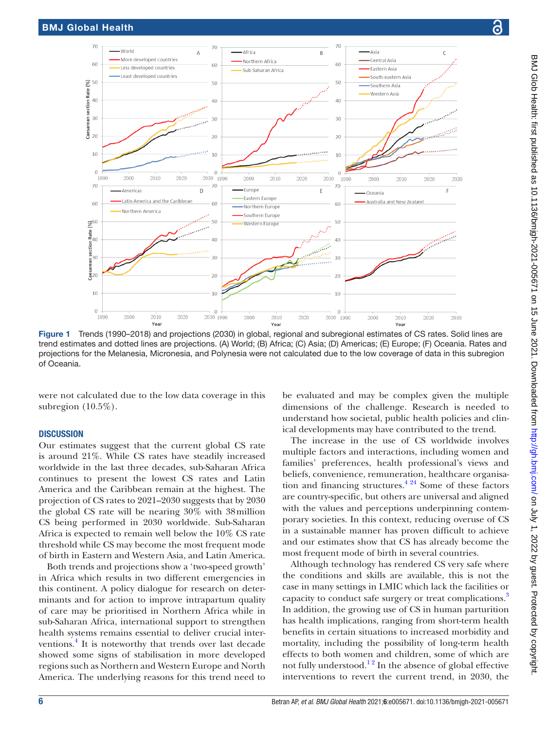

<span id="page-5-0"></span>Figure 1 Trends (1990–2018) and projections (2030) in global, regional and subregional estimates of CS rates. Solid lines are trend estimates and dotted lines are projections. (A) World; (B) Africa; (C) Asia; (D) Americas; (E) Europe; (F) Oceania. Rates and projections for the Melanesia, Micronesia, and Polynesia were not calculated due to the low coverage of data in this subregion of Oceania.

were not calculated due to the low data coverage in this subregion (10.5%).

#### **DISCUSSION**

Our estimates suggest that the current global CS rate is around 21%. While CS rates have steadily increased worldwide in the last three decades, sub-Saharan Africa continues to present the lowest CS rates and Latin America and the Caribbean remain at the highest. The projection of CS rates to 2021–2030 suggests that by 2030 the global CS rate will be nearing 30% with 38million CS being performed in 2030 worldwide. Sub-Saharan Africa is expected to remain well below the 10% CS rate threshold while CS may become the most frequent mode of birth in Eastern and Western Asia, and Latin America.

Both trends and projections show a 'two-speed growth' in Africa which results in two different emergencies in this continent. A policy dialogue for research on determinants and for action to improve intrapartum quality of care may be prioritised in Northern Africa while in sub-Saharan Africa, international support to strengthen health systems remains essential to deliver crucial interventions.<sup>4</sup> It is noteworthy that trends over last decade showed some signs of stabilisation in more developed regions such as Northern and Western Europe and North America. The underlying reasons for this trend need to

be evaluated and may be complex given the multiple dimensions of the challenge. Research is needed to understand how societal, public health policies and clinical developments may have contributed to the trend.

The increase in the use of CS worldwide involves multiple factors and interactions, including women and families' preferences, health professional's views and beliefs, convenience, remuneration, healthcare organisation and financing structures. $4^{24}$  Some of these factors are country-specific, but others are universal and aligned with the values and perceptions underpinning contemporary societies. In this context, reducing overuse of CS in a sustainable manner has proven difficult to achieve and our estimates show that CS has already become the most frequent mode of birth in several countries.

Although technology has rendered CS very safe where the conditions and skills are available, this is not the case in many settings in LMIC which lack the facilities or capacity to conduct safe surgery or treat complications.<sup>[3](#page-7-15)</sup> In addition, the growing use of CS in human parturition has health implications, ranging from short-term health benefits in certain situations to increased morbidity and mortality, including the possibility of long-term health effects to both women and children, some of which are not fully understood.<sup>12</sup> In the absence of global effective interventions to revert the current trend, in 2030, the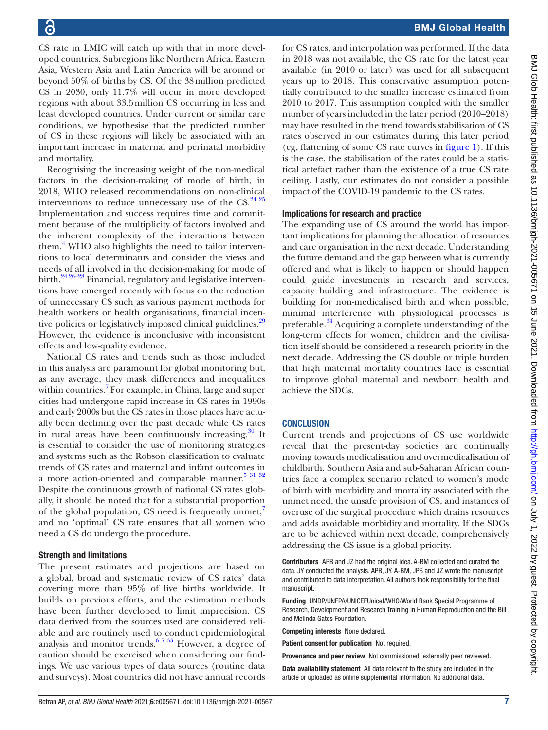CS rate in LMIC will catch up with that in more developed countries. Subregions like Northern Africa, Eastern Asia, Western Asia and Latin America will be around or beyond 50% of births by CS. Of the 38million predicted CS in 2030, only 11.7% will occur in more developed regions with about 33.5million CS occurring in less and least developed countries. Under current or similar care conditions, we hypothesise that the predicted number of CS in these regions will likely be associated with an important increase in maternal and perinatal morbidity and mortality.

Recognising the increasing weight of the non-medical factors in the decision-making of mode of birth, in 2018, WHO released recommendations on non-clinical interventions to reduce unnecessary use of the  $CS.<sup>24-25</sup>$ Implementation and success requires time and commitment because of the multiplicity of factors involved and the inherent complexity of the interactions between them.<sup>[4](#page-7-1)</sup> WHO also highlights the need to tailor interventions to local determinants and consider the views and needs of all involved in the decision-making for mode of birth.<sup>24 26-28</sup> Financial, regulatory and legislative interventions have emerged recently with focus on the reduction of unnecessary CS such as various payment methods for health workers or health organisations, financial incen-tive policies or legislatively imposed clinical guidelines.<sup>[29](#page-7-17)</sup> However, the evidence is inconclusive with inconsistent effects and low-quality evidence.

National CS rates and trends such as those included in this analysis are paramount for global monitoring but, as any average, they mask differences and inequalities within countries.<sup>[7](#page-7-18)</sup> For example, in China, large and super cities had undergone rapid increase in CS rates in 1990s and early 2000s but the CS rates in those places have actually been declining over the past decade while CS rates in rural areas have been continuously increasing. $30$  It is essential to consider the use of monitoring strategies and systems such as the Robson classification to evaluate trends of CS rates and maternal and infant outcomes in a more action-oriented and comparable manner.<sup>[5 31 32](#page-7-20)</sup> Despite the continuous growth of national CS rates globally, it should be noted that for a substantial proportion of the global population, CS need is frequently unmet, $^7$  $^7$ and no 'optimal' CS rate ensures that all women who need a CS do undergo the procedure.

#### Strength and limitations

The present estimates and projections are based on a global, broad and systematic review of CS rates' data covering more than 95% of live births worldwide. It builds on previous efforts, and the estimation methods have been further developed to limit imprecision. CS data derived from the sources used are considered reliable and are routinely used to conduct epidemiological analysis and monitor trends.<sup>[6 7 33](#page-7-2)</sup> However, a degree of caution should be exercised when considering our findings. We use various types of data sources (routine data and surveys). Most countries did not have annual records

for CS rates, and interpolation was performed. If the data in 2018 was not available, the CS rate for the latest year available (in 2010 or later) was used for all subsequent years up to 2018. This conservative assumption potentially contributed to the smaller increase estimated from 2010 to 2017. This assumption coupled with the smaller number of years included in the later period (2010–2018) may have resulted in the trend towards stabilisation of CS rates observed in our estimates during this later period (eg, flattening of some CS rate curves in [figure](#page-5-0) 1). If this is the case, the stabilisation of the rates could be a statistical artefact rather than the existence of a true CS rate ceiling. Lastly, our estimates do not consider a possible impact of the COVID-19 pandemic to the CS rates.

#### Implications for research and practice

The expanding use of CS around the world has important implications for planning the allocation of resources and care organisation in the next decade. Understanding the future demand and the gap between what is currently offered and what is likely to happen or should happen could guide investments in research and services, capacity building and infrastructure. The evidence is building for non-medicalised birth and when possible, minimal interference with physiological processes is preferable.<sup>34</sup> Acquiring a complete understanding of the long-term effects for women, children and the civilisation itself should be considered a research priority in the next decade. Addressing the CS double or triple burden that high maternal mortality countries face is essential to improve global maternal and newborn health and achieve the SDGs.

#### **CONCLUSION**

Current trends and projections of CS use worldwide reveal that the present-day societies are continually moving towards medicalisation and overmedicalisation of childbirth. Southern Asia and sub-Saharan African countries face a complex scenario related to women's mode of birth with morbidity and mortality associated with the unmet need, the unsafe provision of CS, and instances of overuse of the surgical procedure which drains resources and adds avoidable morbidity and mortality. If the SDGs are to be achieved within next decade, comprehensively addressing the CS issue is a global priority.

Contributors APB and JZ had the original idea. A-BM collected and curated the data. JY conducted the analysis. APB, JY, A-BM, JPS and JZ wrote the manuscript and contributed to data interpretation. All authors took responsibility for the final manuscript.

Funding UNDP/UNFPA/UNICEFUnicef/WHO/World Bank Special Programme of Research, Development and Research Training in Human Reproduction and the Bill and Melinda Gates Foundation.

Competing interests None declared.

Patient consent for publication Not required.

Provenance and peer review Not commissioned; externally peer reviewed.

Data availability statement All data relevant to the study are included in the article or uploaded as online supplemental information. No additional data.